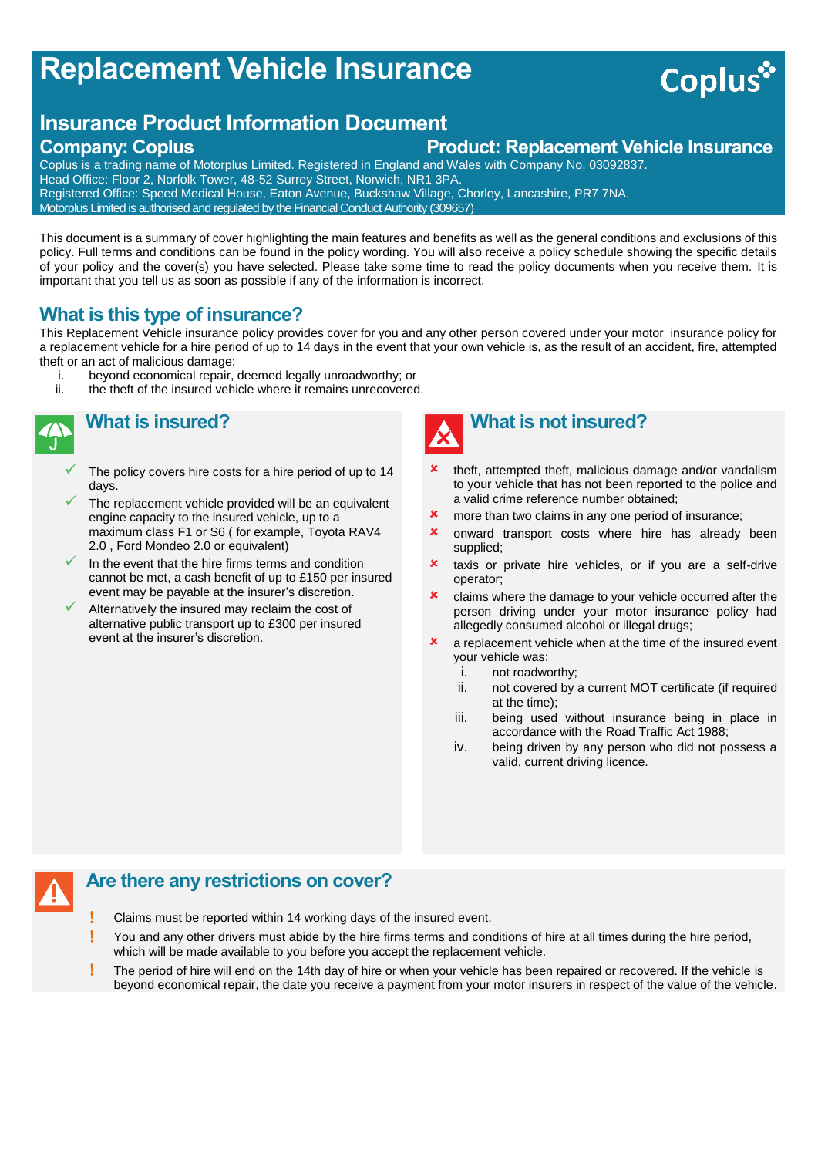# **Replacement Vehicle Insurance**

## **Insurance Product Information Document**

### **Company: Coplus Product: Replacement Vehicle Insurance**

Coplus is a trading name of Motorplus Limited. Registered in England and Wales with Company No. 03092837. Head Office: Floor 2, Norfolk Tower, 48-52 Surrey Street, Norwich, NR1 3PA. Registered Office: Speed Medical House, Eaton Avenue, Buckshaw Village, Chorley, Lancashire, PR7 7NA. Motorplus Limited is authorised and regulated by the Financial Conduct Authority (309657)

This document is a summary of cover highlighting the main features and benefits as well as the general conditions and exclusions of this policy. Full terms and conditions can be found in the policy wording. You will also receive a policy schedule showing the specific details of your policy and the cover(s) you have selected. Please take some time to read the policy documents when you receive them. It is important that you tell us as soon as possible if any of the information is incorrect.

#### **What is this type of insurance?**

This Replacement Vehicle insurance policy provides cover for you and any other person covered under your motor insurance policy for a replacement vehicle for a hire period of up to 14 days in the event that your own vehicle is, as the result of an accident, fire, attempted theft or an act of malicious damage:

- i. beyond economical repair, deemed legally unroadworthy; or ii. the theft of the insured vehicle where it remains unrecovered
	- the theft of the insured vehicle where it remains unrecovered.



### **What is insured?**

- The policy covers hire costs for a hire period of up to 14 days.
- The replacement vehicle provided will be an equivalent engine capacity to the insured vehicle, up to a maximum class F1 or S6 ( for example, Toyota RAV4 2.0 , Ford Mondeo 2.0 or equivalent)
- In the event that the hire firms terms and condition cannot be met, a cash benefit of up to £150 per insured event may be payable at the insurer's discretion.
- Alternatively the insured may reclaim the cost of alternative public transport up to £300 per insured event at the insurer's discretion.



- theft, attempted theft, malicious damage and/or vandalism to your vehicle that has not been reported to the police and a valid crime reference number obtained;
- **x** more than two claims in any one period of insurance;
- **x** onward transport costs where hire has already been supplied;
- **x** taxis or private hire vehicles, or if you are a self-drive operator;
- **x** claims where the damage to your vehicle occurred after the person driving under your motor insurance policy had allegedly consumed alcohol or illegal drugs;
- $\boldsymbol{\ast}$  a replacement vehicle when at the time of the insured event your vehicle was:
	- i. not roadworthy;
	- ii. not covered by a current MOT certificate (if required at the time);
	- iii. being used without insurance being in place in accordance with the Road Traffic Act 1988;
	- iv. being driven by any person who did not possess a valid, current driving licence.

#### **Are there any restrictions on cover?**

- Claims must be reported within 14 working days of the insured event.
- You and any other drivers must abide by the hire firms terms and conditions of hire at all times during the hire period, which will be made available to you before you accept the replacement vehicle.
- The period of hire will end on the 14th day of hire or when your vehicle has been repaired or recovered. If the vehicle is beyond economical repair, the date you receive a payment from your motor insurers in respect of the value of the vehicle.